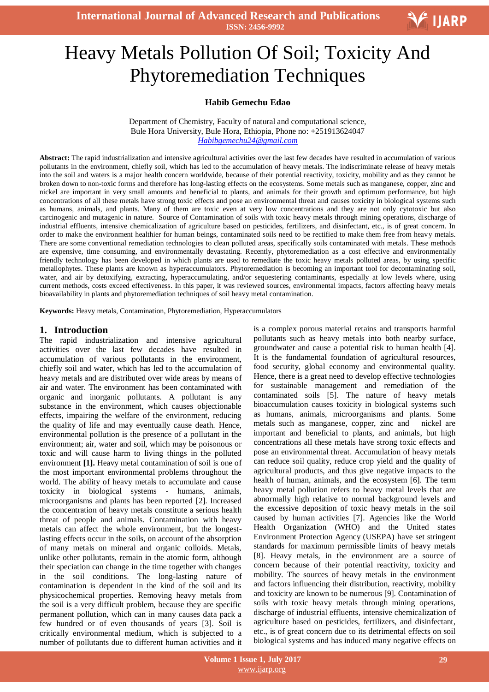**International Journal of Advanced Research and Publications ISSN: 2456-9992**

# l<br>. Heavy Metals Pollution Of Soil; Toxicity And Phytoremediation Techniques

### **Habib Gemechu Edao**

Department of Chemistry, Faculty of natural and computational science, Bule Hora University, Bule Hora, Ethiopia, Phone no: +251913624047 *Habibgemechu24@gmail.com*

**Abstract:** The rapid industrialization and intensive agricultural activities over the last few decades have resulted in accumulation of various pollutants in the environment, chiefly soil, which has led to the accumulation of heavy metals. The indiscriminate release of heavy metals into the soil and waters is a major health concern worldwide, because of their potential reactivity, toxicity, mobility and as they cannot be broken down to non-toxic forms and therefore has long-lasting effects on the ecosystems. Some metals such as manganese, copper, zinc and nickel are important in very small amounts and beneficial to plants, and animals for their growth and optimum performance, but high concentrations of all these metals have strong toxic effects and pose an environmental threat and causes toxicity in biological systems such as humans, animals, and plants. Many of them are toxic even at very low concentrations and they are not only cytotoxic but also carcinogenic and mutagenic in nature. Source of Contamination of soils with toxic heavy metals through mining operations, discharge of industrial effluents, intensive chemicalization of agriculture based on pesticides, fertilizers, and disinfectant, etc., is of great concern. In order to make the environment healthier for human beings, contaminated soils need to be rectified to make them free from heavy metals. There are some conventional remediation technologies to clean polluted areas, specifically soils contaminated with metals. These methods are expensive, time consuming, and environmentally devastating. Recently, phytoremediation as a cost effective and environmentally friendly technology has been developed in which plants are used to remediate the toxic heavy metals polluted areas, by using specific metallophytes. These plants are known as hyperaccumulators. Phytoremediation is becoming an important tool for decontaminating soil, water, and air by detoxifying, extracting, hyperaccumulating, and/or sequestering contaminants, especially at low levels where, using current methods, costs exceed effectiveness. In this paper, it was reviewed sources, environmental impacts, factors affecting heavy metals bioavailability in plants and phytoremediation techniques of soil heavy metal contamination.

**Keywords:** Heavy metals, Contamination, Phytoremediation, Hyperaccumulators

#### **1. Introduction**

The rapid industrialization and intensive agricultural activities over the last few decades have resulted in accumulation of various pollutants in the environment, chiefly soil and water, which has led to the accumulation of heavy metals and are distributed over wide areas by means of air and water. The environment has been contaminated with organic and inorganic pollutants. A pollutant is any substance in the environment, which causes objectionable effects, impairing the welfare of the environment, reducing the quality of life and may eventually cause death. Hence, environmental pollution is the presence of a pollutant in the environment; air, water and soil, which may be poisonous or toxic and will cause harm to living things in the polluted environment **[1].** Heavy metal contamination of soil is one of the most important environmental problems throughout the world. The ability of heavy metals to accumulate and cause toxicity in biological systems - humans, animals, microorganisms and plants has been reported [2]. Increased the concentration of heavy metals constitute a serious health threat of people and animals. Contamination with heavy metals can affect the whole environment, but the longestlasting effects occur in the soils, on account of the absorption of many metals on mineral and organic colloids. Metals, unlike other pollutants, remain in the atomic form, although their speciation can change in the time together with changes in the soil conditions. The long-lasting nature of contamination is dependent in the kind of the soil and its physicochemical properties. Removing heavy metals from the soil is a very difficult problem, because they are specific permanent pollution, which can in many causes data pack a few hundred or of even thousands of years [3]. Soil is critically environmental medium, which is subjected to a number of pollutants due to different human activities and it is a complex porous material retains and transports harmful pollutants such as heavy metals into both nearby surface, groundwater and cause a potential risk to human health [4]. It is the fundamental foundation of agricultural resources, food security, global economy and environmental quality. Hence, there is a great need to develop effective technologies for sustainable management and remediation of the contaminated soils [5]. The nature of heavy metals bioaccumulation causes toxicity in biological systems such as humans, animals, microorganisms and plants. Some metals such as manganese, copper, zinc and nickel are important and beneficial to plants, and animals, but high concentrations all these metals have strong toxic effects and pose an environmental threat. Accumulation of heavy metals can reduce soil quality, reduce crop yield and the quality of agricultural products, and thus give negative impacts to the health of human, animals, and the ecosystem [6]. The term heavy metal pollution refers to heavy metal levels that are abnormally high relative to normal background levels and the excessive deposition of toxic heavy metals in the soil caused by human activities [7]. Agencies like the World Health Organization (WHO) and the United states Environment Protection Agency (USEPA) have set stringent standards for maximum permissible limits of heavy metals [8]. Heavy metals, in the environment are a source of concern because of their potential reactivity, toxicity and mobility. The sources of heavy metals in the environment and factors influencing their distribution, reactivity, mobility and toxicity are known to be numerous [9]. Contamination of soils with toxic heavy metals through mining operations, discharge of industrial effluents, intensive chemicalization of agriculture based on pesticides, fertilizers, and disinfectant, etc., is of great concern due to its detrimental effects on soil biological systems and has induced many negative effects on

V IJARP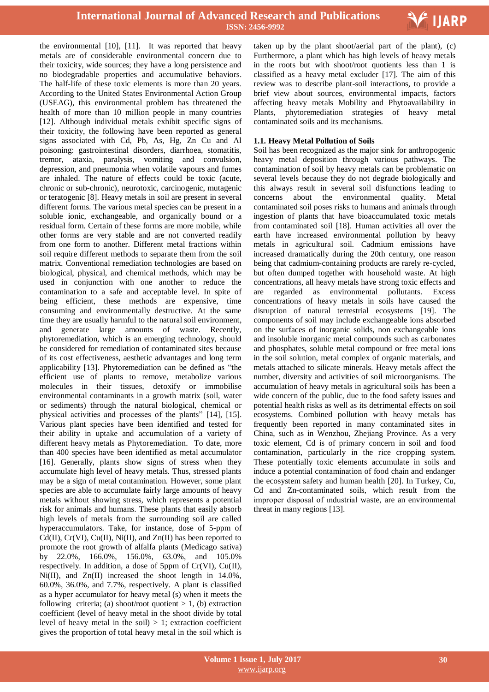

the environmental [10], [11]. It was reported that heavy metals are of considerable environmental concern due to their toxicity, wide sources; they have a long persistence and no biodegradable properties and accumulative behaviors. The half-life of these toxic elements is more than 20 years. According to the United States Environmental Action Group (USEAG), this environmental problem has threatened the health of more than 10 million people in many countries [12]. Although individual metals exhibit specific signs of their toxicity, the following have been reported as general signs associated with Cd, Pb, As, Hg, Zn Cu and Al poisoning: gastrointestinal disorders, diarrhoea, stomatitis, tremor, ataxia, paralysis, vomiting and convulsion, depression, and pneumonia when volatile vapours and fumes are inhaled. The nature of effects could be toxic (acute, chronic or sub-chronic), neurotoxic, carcinogenic, mutagenic or teratogenic [8]. Heavy metals in soil are present in several different forms. The various metal species can be present in a soluble ionic, exchangeable, and organically bound or a residual form. Certain of these forms are more mobile, while other forms are very stable and are not converted readily from one form to another. Different metal fractions within soil require different methods to separate them from the soil matrix. Conventional remediation technologies are based on biological, physical, and chemical methods, which may be used in conjunction with one another to reduce the contamination to a safe and acceptable level. In spite of being efficient, these methods are expensive, time consuming and environmentally destructive. At the same time they are usually harmful to the natural soil environment, and generate large amounts of waste. Recently, phytoremediation, which is an emerging technology, should be considered for remediation of contaminated sites because of its cost effectiveness, aesthetic advantages and long term applicability [13]. Phytoremediation can be defined as "the efficient use of plants to remove, metabolize various molecules in their tissues, detoxify or immobilise environmental contaminants in a growth matrix (soil, water or sediments) through the natural biological, chemical or physical activities and processes of the plants" [14], [15]. Various plant species have been identified and tested for their ability in uptake and accumulation of a variety of different heavy metals as Phytoremediation. To date, more than 400 species have been identified as metal accumulator [16]. Generally, plants show signs of stress when they accumulate high level of heavy metals. Thus, stressed plants may be a sign of metal contamination. However, some plant species are able to accumulate fairly large amounts of heavy metals without showing stress, which represents a potential risk for animals and humans. These plants that easily absorb high levels of metals from the surrounding soil are called hyperaccumulators. Take, for instance, dose of 5-ppm of Cd(II),  $Cr(VI)$ ,  $Cu(II)$ ,  $Ni(II)$ , and  $Zn(II)$  has been reported to promote the root growth of alfalfa plants (Medicago sativa) by 22.0%, 166.0%, 156.0%, 63.0%, and 105.0% respectively. In addition, a dose of 5ppm of Cr(VI), Cu(II), Ni(II), and Zn(II) increased the shoot length in 14.0%, 60.0%, 36.0%, and 7.7%, respectively. A plant is classified as a hyper accumulator for heavy metal (s) when it meets the following criteria; (a) shoot/root quotient  $> 1$ , (b) extraction coefficient (level of heavy metal in the shoot divide by total level of heavy metal in the soil)  $> 1$ ; extraction coefficient gives the proportion of total heavy metal in the soil which is

 taken up by the plant shoot/aerial part of the plant), (c) Furthermore, a plant which has high levels of heavy metals in the roots but with shoot/root quotients less than 1 is classified as a heavy metal excluder [17]. The aim of this review was to describe plant-soil interactions, to provide a brief view about sources, environmental impacts, factors affecting heavy metals Mobility and Phytoavailability in Plants, phytoremediation strategies of heavy metal contaminated soils and its mechanisms.

#### **1.1. Heavy Metal Pollution of Soils**

Soil has been recognized as the major sink for anthropogenic heavy metal deposition through various pathways. The contamination of soil by heavy metals can be problematic on several levels because they do not degrade biologically and this always result in several soil disfunctions leading to concerns about the environmental quality. Metal contaminated soil poses risks to humans and animals through ingestion of plants that have bioaccumulated toxic metals from contaminated soil [18]. Human activities all over the earth have increased environmental pollution by heavy metals in agricultural soil. Cadmium emissions have increased dramatically during the 20th century, one reason being that cadmium-containing products are rarely re-cycled, but often dumped together with household waste. At high concentrations, all heavy metals have strong toxic effects and are regarded as environmental pollutants. Excess concentrations of heavy metals in soils have caused the disruption of natural terrestrial ecosystems [19]. The components of soil may include exchangeable ions absorbed on the surfaces of inorganic solids, non exchangeable ions and insoluble inorganic metal compounds such as carbonates and phosphates, soluble metal compound or free metal ions in the soil solution, metal complex of organic materials, and metals attached to silicate minerals. Heavy metals affect the number, diversity and activities of soil microorganisms. The accumulation of heavy metals in agricultural soils has been a wide concern of the public, due to the food safety issues and potential health risks as well as its detrimental effects on soil ecosystems. Combined pollution with heavy metals has frequently been reported in many contaminated sites in China, such as in Wenzhou, Zhejiang Province. As a very toxic element, Cd is of primary concern in soil and food contamination, particularly in the rice cropping system. These potentially toxic elements accumulate in soils and induce a potential contamination of food chain and endanger the ecosystem safety and human health [20]. In Turkey, Cu, Cd and Zn-contaminated soils, which result from the improper disposal of ındustrial waste, are an environmental threat in many regions [13].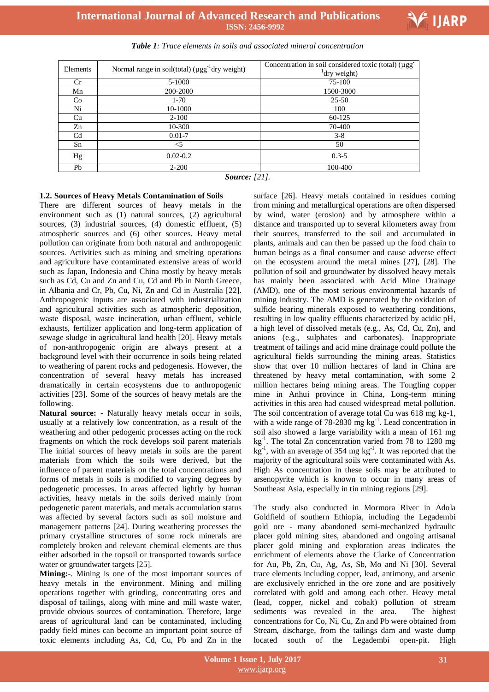**International Journal of Advanced Research and Publications ISSN: 2456-9992**



Ι

| Elements       | Normal range in soil(total) $(\mu gg^{-1}$ dry weight) | Concentration in soil considered toxic (total) (µgg<br>$^{1}$ dry weight) |
|----------------|--------------------------------------------------------|---------------------------------------------------------------------------|
| Cr             | 5-1000                                                 | 75-100                                                                    |
| Mn             | 200-2000                                               | 1500-3000                                                                 |
| Co             | $1 - 70$                                               | $25 - 50$                                                                 |
| Ni             | 10-1000                                                | 100                                                                       |
| Cu             | $2 - 100$                                              | 60-125                                                                    |
| Zn             | 10-300                                                 | 70-400                                                                    |
| C <sub>d</sub> | $0.01 - 7$                                             | $3 - 8$                                                                   |
| Sn             | <5                                                     | 50                                                                        |
| Hg             | $0.02 - 0.2$                                           | $0.3 - 5$                                                                 |
| Pb             | $2 - 200$                                              | 100-400                                                                   |

*Table 1: Trace elements in soils and associated mineral concentration*

*Source: [21].*

#### **1.2. Sources of Heavy Metals Contamination of Soils**

There are different sources of heavy metals in the environment such as (1) natural sources, (2) agricultural sources, (3) industrial sources, (4) domestic effluent, (5) atmospheric sources and (6) other sources. Heavy metal pollution can originate from both natural and anthropogenic sources. Activities such as mining and smelting operations and agriculture have contaminated extensive areas of world such as Japan, Indonesia and China mostly by heavy metals such as Cd, Cu and Zn and Cu, Cd and Pb in North Greece, in Albania and Cr, Pb, Cu, Ni, Zn and Cd in Australia [22]. Anthropogenic inputs are associated with industrialization and agricultural activities such as atmospheric deposition, waste disposal, waste incineration, urban effluent, vehicle exhausts, fertilizer application and long-term application of sewage sludge in agricultural land health [20]. Heavy metals of non-anthropogenic origin are always present at a background level with their occurrence in soils being related to weathering of parent rocks and pedogenesis. However, the concentration of several heavy metals has increased dramatically in certain ecosystems due to anthropogenic activities [23]. Some of the sources of heavy metals are the following.

**Natural source: -** Naturally heavy metals occur in soils, usually at a relatively low concentration, as a result of the weathering and other pedogenic processes acting on the rock fragments on which the rock develops soil parent materials The initial sources of heavy metals in soils are the parent materials from which the soils were derived, but the influence of parent materials on the total concentrations and forms of metals in soils is modified to varying degrees by pedogenetic processes. In areas affected lightly by human activities, heavy metals in the soils derived mainly from pedogenetic parent materials, and metals accumulation status was affected by several factors such as soil moisture and management patterns [24]. During weathering processes the primary crystalline structures of some rock minerals are completely broken and relevant chemical elements are thus either adsorbed in the topsoil or transported towards surface water or groundwater targets [25].

**Mining:-**. Mining is one of the most important sources of heavy metals in the environment. Mining and milling operations together with grinding, concentrating ores and disposal of tailings, along with mine and mill waste water, provide obvious sources of contamination. Therefore, large areas of agricultural land can be contaminated, including paddy field mines can become an important point source of toxic elements including As, Cd, Cu, Pb and Zn in the

surface [26]. Heavy metals contained in residues coming from mining and metallurgical operations are often dispersed by wind, water (erosion) and by atmosphere within a distance and transported up to several kilometers away from their sources, transferred to the soil and accumulated in plants, animals and can then be passed up the food chain to human beings as a final consumer and cause adverse effect on the ecosystem around the metal mines [27], [28]. The pollution of soil and groundwater by dissolved heavy metals has mainly been associated with Acid Mine Drainage (AMD), one of the most serious environmental hazards of mining industry. The AMD is generated by the oxidation of sulfide bearing minerals exposed to weathering conditions, resulting in low quality effluents characterized by acidic pH, a high level of dissolved metals (e.g., As, Cd, Cu, Zn), and anions (e.g., sulphates and carbonates). Inappropriate treatment of tailings and acid mine drainage could pollute the agricultural fields surrounding the mining areas. Statistics show that over 10 million hectares of land in China are threatened by heavy metal contamination, with some 2 million hectares being mining areas. The Tongling copper mine in Anhui province in China, Long-term mining activities in this area had caused widespread metal pollution. The soil concentration of average total Cu was 618 mg kg-1, with a wide range of 78-2830 mg kg<sup>-1</sup>. Lead concentration in soil also showed a large variability with a mean of 161 mg kg-1 . The total Zn concentration varied from 78 to 1280 mg  $kg^{-1}$ , with an average of 354 mg  $kg^{-1}$ . It was reported that the majority of the agricultural soils were contaminated with As. High As concentration in these soils may be attributed to arsenopyrite which is known to occur in many areas of Southeast Asia, especially in tin mining regions [29].

The study also conducted in Mormora River in Adola Goldfield of southern Ethiopia, including the Legadembi gold ore - many abandoned semi-mechanized hydraulic placer gold mining sites, abandoned and ongoing artisanal placer gold mining and exploration areas indicates the enrichment of elements above the Clarke of Concentration for Au, Pb, Zn, Cu, Ag, As, Sb, Mo and Ni [30]. Several trace elements including copper, lead, antimony, and arsenic are exclusively enriched in the ore zone and are positively correlated with gold and among each other. Heavy metal (lead, copper, nickel and cobalt) pollution of stream sediments was revealed in the area. The highest concentrations for Co, Ni, Cu, Zn and Pb were obtained from Stream, discharge, from the tailings dam and waste dump located south of the Legadembi open-pit. High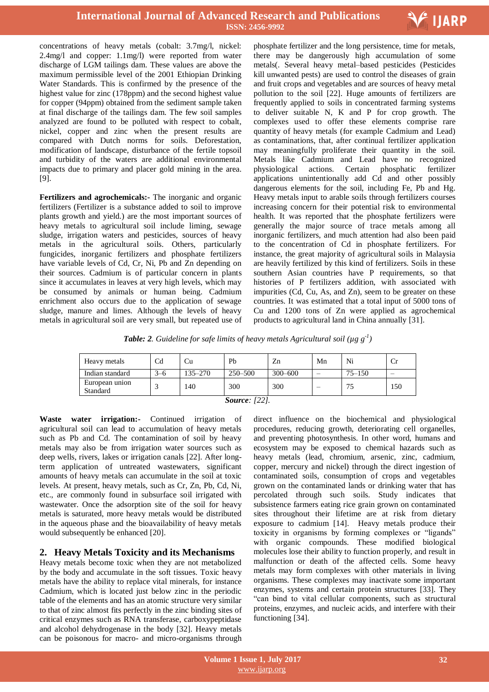

concentrations of heavy metals (cobalt: 3.7mg/l, nickel: 2.4mg/l and copper: 1.1mg/l) were reported from water discharge of LGM tailings dam. These values are above the maximum permissible level of the 2001 Ethiopian Drinking Water Standards. This is confirmed by the presence of the highest value for zinc (178ppm) and the second highest value for copper (94ppm) obtained from the sediment sample taken at final discharge of the tailings dam. The few soil samples analyzed are found to be polluted with respect to cobalt, nickel, copper and zinc when the present results are compared with Dutch norms for soils. Deforestation, modification of landscape, disturbance of the fertile topsoil and turbidity of the waters are additional environmental impacts due to primary and placer gold mining in the area. [9].

**Fertilizers and agrochemicals:-** The inorganic and organic fertilizers (Fertilizer is a substance added to soil to improve plants growth and yield.) are the most important sources of heavy metals to agricultural soil include liming, sewage sludge, irrigation waters and pesticides, sources of heavy metals in the agricultural soils. Others, particularly fungicides, inorganic fertilizers and phosphate fertilizers have variable levels of Cd, Cr, Ni, Pb and Zn depending on their sources. Cadmium is of particular concern in plants since it accumulates in leaves at very high levels, which may be consumed by animals or human being. Cadmium enrichment also occurs due to the application of sewage sludge, manure and limes. Although the levels of heavy metals in agricultural soil are very small, but repeated use of

 phosphate fertilizer and the long persistence, time for metals, there may be dangerously high accumulation of some metals(. Several heavy metal–based pesticides (Pesticides kill unwanted pests) are used to control the diseases of grain and fruit crops and vegetables and are sources of heavy metal pollution to the soil [22]. Huge amounts of fertilizers are frequently applied to soils in concentrated farming systems to deliver suitable N, K and P for crop growth. The complexes used to offer these elements comprise rare quantity of heavy metals (for example Cadmium and Lead) as contaminations, that, after continual fertilizer application may meaningfully proliferate their quantity in the soil. Metals like Cadmium and Lead have no recognized physiological actions. Certain phosphatic fertilizer applications unintentionally add Cd and other possibly dangerous elements for the soil, including Fe, Pb and Hg. Heavy metals input to arable soils through fertilizers courses increasing concern for their potential risk to environmental health. It was reported that the phosphate fertilizers were generally the major source of trace metals among all inorganic fertilizers, and much attention had also been paid to the concentration of Cd in phosphate fertilizers. For instance, the great majority of agricultural soils in Malaysia are heavily fertilized by this kind of fertilizers. Soils in these southern Asian countries have P requirements, so that histories of P fertilizers addition, with associated with impurities (Cd, Cu, As, and Zn), seem to be greater on these countries. It was estimated that a total input of 5000 tons of Cu and 1200 tons of Zn were applied as agrochemical products to agricultural land in China annually [31].

**Table: 2**. Guideline for safe limits of heavy metals Agricultural soil ( $\mu$ g g<sup>-1</sup>)

| Heavy metals               | $\operatorname{Cd}$ | Cu      | Pb          | Zn          | Mn | Ni         | Ůľ  |
|----------------------------|---------------------|---------|-------------|-------------|----|------------|-----|
| Indian standard            | $3 - 6$             | 135–270 | $250 - 500$ | $300 - 600$ |    | $75 - 150$ |     |
| European union<br>Standard |                     | 140     | 300         | 300         |    |            | 150 |
| $C_{2}$ $1221$             |                     |         |             |             |    |            |     |

*Source: [22].*

**Waste water irrigation:-** Continued irrigation of agricultural soil can lead to accumulation of heavy metals such as Pb and Cd. The contamination of soil by heavy metals may also be from irrigation water sources such as deep wells, rivers, lakes or irrigation canals [22]. After longterm application of untreated wastewaters, significant amounts of heavy metals can accumulate in the soil at toxic levels. At present, heavy metals, such as Cr, Zn, Pb, Cd, Ni, etc., are commonly found in subsurface soil irrigated with wastewater. Once the adsorption site of the soil for heavy metals is saturated, more heavy metals would be distributed in the aqueous phase and the bioavailability of heavy metals would subsequently be enhanced [20].

# **2. Heavy Metals Toxicity and its Mechanisms**

Heavy metals become toxic when they are not metabolized by the body and accumulate in the soft tissues. Toxic heavy metals have the ability to replace vital minerals, for instance Cadmium, which is located just below zinc in the periodic table of the elements and has an atomic structure very similar to that of zinc almost fits perfectly in the zinc binding sites of critical enzymes such as RNA transferase, carboxypeptidase and alcohol dehydrogenase in the body [32]. Heavy metals can be poisonous for macro- and micro-organisms through

direct influence on the biochemical and physiological procedures, reducing growth, deteriorating cell organelles, and preventing photosynthesis. In other word, humans and ecosystem may be exposed to chemical hazards such as heavy metals (lead, chromium, arsenic, zinc, cadmium, copper, mercury and nickel) through the direct ingestion of contaminated soils, consumption of crops and vegetables grown on the contaminated lands or drinking water that has percolated through such soils. Study indicates that subsistence farmers eating rice grain grown on contaminated sites throughout their lifetime are at risk from dietary exposure to cadmium [14]. Heavy metals produce their toxicity in organisms by forming complexes or "ligands" with organic compounds. These modified biological molecules lose their ability to function properly, and result in malfunction or death of the affected cells. Some heavy metals may form complexes with other materials in living organisms. These complexes may inactivate some important enzymes, systems and certain protein structures [33]. They "can bind to vital cellular components, such as structural proteins, enzymes, and nucleic acids, and interfere with their functioning [34].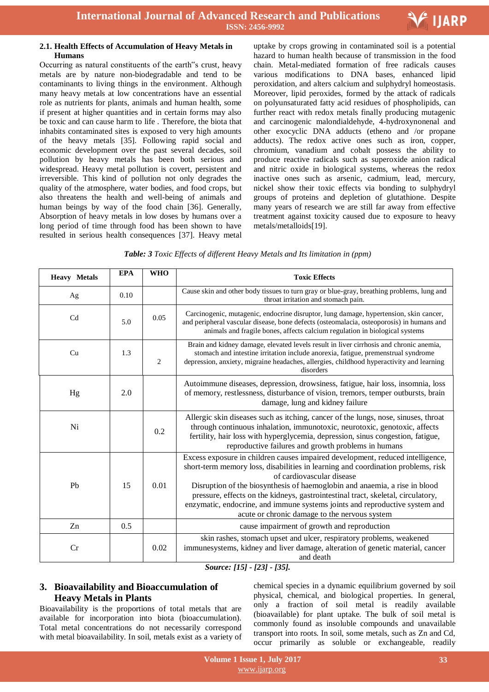

#### **2.1. Health Effects of Accumulation of Heavy Metals in Humans**

Occurring as natural constituents of the earth"s crust, heavy metals are by nature non-biodegradable and tend to be contaminants to living things in the environment. Although many heavy metals at low concentrations have an essential role as nutrients for plants, animals and human health, some if present at higher quantities and in certain forms may also be toxic and can cause harm to life . Therefore, the biota that inhabits contaminated sites is exposed to very high amounts of the heavy metals [35]. Following rapid social and economic development over the past several decades, soil pollution by heavy metals has been both serious and widespread. Heavy metal pollution is covert, persistent and irreversible. This kind of pollution not only degrades the quality of the atmosphere, water bodies, and food crops, but also threatens the health and well-being of animals and human beings by way of the food chain [36]. Generally, Absorption of heavy metals in low doses by humans over a long period of time through food has been shown to have resulted in serious health consequences [37]. Heavy metal

 uptake by crops growing in contaminated soil is a potential hazard to human health because of transmission in the food chain. Metal-mediated formation of free radicals causes various modifications to DNA bases, enhanced lipid peroxidation, and alters calcium and sulphydryl homeostasis. Moreover, lipid peroxides, formed by the attack of radicals on polyunsaturated fatty acid residues of phospholipids, can further react with redox metals finally producing mutagenic and carcinogenic malondialdehyde, 4-hydroxynonenal and other exocyclic DNA adducts (etheno and /or propane adducts). The redox active ones such as iron, copper, chromium, vanadium and cobalt possess the ability to produce reactive radicals such as superoxide anion radical and nitric oxide in biological systems, whereas the redox inactive ones such as arsenic, cadmium, lead, mercury, nickel show their toxic effects via bonding to sulphydryl groups of proteins and depletion of glutathione. Despite many years of research we are still far away from effective treatment against toxicity caused due to exposure to heavy metals/metalloids[19].

|  | Table: 3 Toxic Effects of different Heavy Metals and Its limitation in (ppm) |  |
|--|------------------------------------------------------------------------------|--|
|--|------------------------------------------------------------------------------|--|

| <b>Heavy Metals</b> | <b>EPA</b> | <b>WHO</b>     | <b>Toxic Effects</b>                                                                                                                                                                                                                                                                                                                                                                                                                                                                              |
|---------------------|------------|----------------|---------------------------------------------------------------------------------------------------------------------------------------------------------------------------------------------------------------------------------------------------------------------------------------------------------------------------------------------------------------------------------------------------------------------------------------------------------------------------------------------------|
| Ag                  | 0.10       |                | Cause skin and other body tissues to turn gray or blue-gray, breathing problems, lung and<br>throat irritation and stomach pain.                                                                                                                                                                                                                                                                                                                                                                  |
| C <sub>d</sub>      | 5.0        | 0.05           | Carcinogenic, mutagenic, endocrine disruptor, lung damage, hypertension, skin cancer,<br>and peripheral vascular disease, bone defects (osteomalacia, osteoporosis) in humans and<br>animals and fragile bones, affects calcium regulation in biological systems                                                                                                                                                                                                                                  |
| Cu                  | 1.3        | $\overline{2}$ | Brain and kidney damage, elevated levels result in liver cirrhosis and chronic anemia,<br>stomach and intestine irritation include anorexia, fatigue, premenstrual syndrome<br>depression, anxiety, migraine headaches, allergies, childhood hyperactivity and learning<br>disorders                                                                                                                                                                                                              |
| Hg                  | 2.0        |                | Autoimmune diseases, depression, drowsiness, fatigue, hair loss, insomnia, loss<br>of memory, restlessness, disturbance of vision, tremors, temper outbursts, brain<br>damage, lung and kidney failure                                                                                                                                                                                                                                                                                            |
| Ni                  |            | 0.2            | Allergic skin diseases such as itching, cancer of the lungs, nose, sinuses, throat<br>through continuous inhalation, immunotoxic, neurotoxic, genotoxic, affects<br>fertility, hair loss with hyperglycemia, depression, sinus congestion, fatigue,<br>reproductive failures and growth problems in humans                                                                                                                                                                                        |
| Pb                  | 15         | 0.01           | Excess exposure in children causes impaired development, reduced intelligence,<br>short-term memory loss, disabilities in learning and coordination problems, risk<br>of cardiovascular disease<br>Disruption of the biosynthesis of haemoglobin and anaemia, a rise in blood<br>pressure, effects on the kidneys, gastrointestinal tract, skeletal, circulatory,<br>enzymatic, endocrine, and immune systems joints and reproductive system and<br>acute or chronic damage to the nervous system |
| Zn                  | 0.5        |                | cause impairment of growth and reproduction                                                                                                                                                                                                                                                                                                                                                                                                                                                       |
| Cr                  |            | 0.02           | skin rashes, stomach upset and ulcer, respiratory problems, weakened<br>immunesystems, kidney and liver damage, alteration of genetic material, cancer<br>and death<br>$\sim$<br>$11.71$ $10.01$ $10.71$                                                                                                                                                                                                                                                                                          |

*Source: [15] - [23] - [35].*

# **3. Bioavailability and Bioaccumulation of Heavy Metals in Plants**

Bioavailability is the proportions of total metals that are available for incorporation into biota (bioaccumulation). Total metal concentrations do not necessarily correspond with metal bioavailability. In soil, metals exist as a variety of chemical species in a dynamic equilibrium governed by soil physical, chemical, and biological properties. In general, only a fraction of soil metal is readily available (bioavailable) for plant uptake. The bulk of soil metal is commonly found as insoluble compounds and unavailable transport into roots. In soil, some metals, such as Zn and Cd, occur primarily as soluble or exchangeable, readily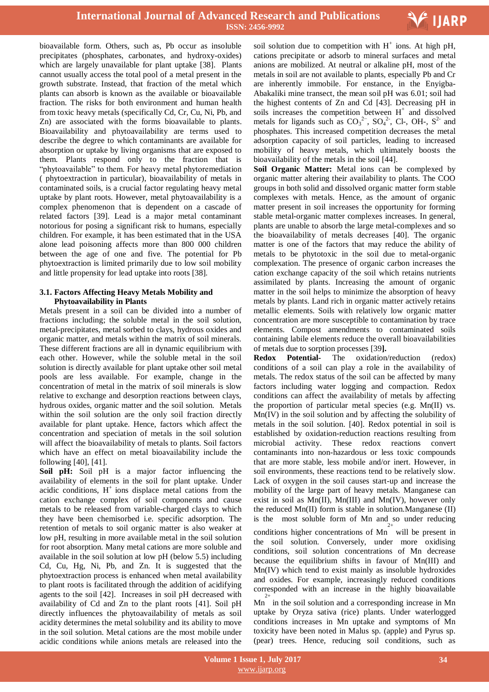

bioavailable form. Others, such as, Pb occur as insoluble precipitates (phosphates, carbonates, and hydroxy-oxides) which are largely unavailable for plant uptake [38]. Plants cannot usually access the total pool of a metal present in the growth substrate. Instead, that fraction of the metal which plants can absorb is known as the available or bioavailable fraction. The risks for both environment and human health from toxic heavy metals (specifically Cd, Cr, Cu, Ni, Pb, and Zn) are associated with the forms bioavailable to plants. Bioavailability and phytoavailability are terms used to describe the degree to which contaminants are available for absorption or uptake by living organisms that are exposed to them. Plants respond only to the fraction that is "phytoavailable" to them. For heavy metal phytoremediation ( phytoextraction in particular), bioavailability of metals in contaminated soils, is a crucial factor regulating heavy metal uptake by plant roots. However, metal phytoavailability is a complex phenomenon that is dependent on a cascade of related factors [39]. Lead is a major metal contaminant notorious for posing a significant risk to humans, especially children. For example, it has been estimated that in the USA alone lead poisoning affects more than 800 000 children between the age of one and five. The potential for Pb phytoextraction is limited primarily due to low soil mobility and little propensity for lead uptake into roots [38].

#### **3.1. Factors Affecting Heavy Metals Mobility and Phytoavailability in Plants**

Metals present in a soil can be divided into a number of fractions including; the soluble metal in the soil solution, metal-precipitates, metal sorbed to clays, hydrous oxides and organic matter, and metals within the matrix of soil minerals. These different fractions are all in dynamic equilibrium with each other. However, while the soluble metal in the soil solution is directly available for plant uptake other soil metal pools are less available. For example, change in the concentration of metal in the matrix of soil minerals is slow relative to exchange and desorption reactions between clays, hydrous oxides, organic matter and the soil solution. Metals within the soil solution are the only soil fraction directly available for plant uptake. Hence, factors which affect the concentration and speciation of metals in the soil solution will affect the bioavailability of metals to plants. Soil factors which have an effect on metal bioavailability include the following [40], [41].

**Soil pH:** Soil pH is a major factor influencing the availability of elements in the soil for plant uptake. Under acidic conditions,  $H^+$  ions displace metal cations from the cation exchange complex of soil components and cause metals to be released from variable-charged clays to which they have been chemisorbed i.e. specific adsorption. The retention of metals to soil organic matter is also weaker at low pH, resulting in more available metal in the soil solution for root absorption. Many metal cations are more soluble and available in the soil solution at low pH (below 5.5) including Cd, Cu, Hg, Ni, Pb, and Zn. It is suggested that the phytoextraction process is enhanced when metal availability to plant roots is facilitated through the addition of acidifying agents to the soil [42]. Increases in soil pH decreased with availability of Cd and Zn to the plant roots [41]. Soil pH directly influences the phytoavailability of metals as soil acidity determines the metal solubility and its ability to move in the soil solution. Metal cations are the most mobile under acidic conditions while anions metals are released into the

soil solution due to competition with  $H^+$  ions. At high pH, cations precipitate or adsorb to mineral surfaces and metal anions are mobilized. At neutral or alkaline pH, most of the metals in soil are not available to plants, especially Pb and Cr are inherently immobile. For enstance, in the Enyigba-Abakaliki mine transect, the mean soil pH was 6.01; soil had the highest contents of Zn and Cd [43]. Decreasing pH in soils increases the competition between  $H^+$  and dissolved metals for ligands such as  $CO_3^{2-}$ ,  $SO_4^{2-}$ , Cl-, OH-,  $S^{2-}$  and phosphates. This increased competition decreases the metal adsorption capacity of soil particles, leading to increased mobility of heavy metals, which ultimately boosts the bioavailability of the metals in the soil [44].

**Soil Organic Matter:** Metal ions can be complexed by organic matter altering their availability to plants. The COO groups in both solid and dissolved organic matter form stable complexes with metals. Hence, as the amount of organic matter present in soil increases the opportunity for forming stable metal-organic matter complexes increases. In general, plants are unable to absorb the large metal-complexes and so the bioavailability of metals decreases [40]. The organic matter is one of the factors that may reduce the ability of metals to be phytotoxic in the soil due to metal-organic complexation. The presence of organic carbon increases the cation exchange capacity of the soil which retains nutrients assimilated by plants. Increasing the amount of organic matter in the soil helps to minimize the absorption of heavy metals by plants. Land rich in organic matter actively retains metallic elements. Soils with relatively low organic matter concentration are more susceptible to contamination by trace elements. Compost amendments to contaminated soils containing labile elements reduce the overall bioavailabilities of metals due to sorption processes [39**].**

**Redox Potential-** The oxidation/reduction (redox) conditions of a soil can play a role in the availability of metals. The redox status of the soil can be affected by many factors including water logging and compaction. Redox conditions can affect the availability of metals by affecting the proportion of particular metal species (e.g. Mn(II) vs. Mn(IV) in the soil solution and by affecting the solubility of metals in the soil solution. [40]. Redox potential in soil is established by oxidation-reduction reactions resulting from microbial activity. These redox reactions convert contaminants into non-hazardous or less toxic compounds that are more stable, less mobile and/or inert. However, in soil environments, these reactions tend to be relatively slow. Lack of oxygen in the soil causes start-up and increase the mobility of the large part of heavy metals. Manganese can exist in soil as  $Mn(II)$ ,  $Mn(III)$  and  $Mn(IV)$ , however only the reduced Mn(II) form is stable in solution.Manganese (II) is the most soluble form of Mn and so under reducing

conditions higher concentrations of Mn will be present in 2+ the soil solution. Conversely, under more oxidising conditions, soil solution concentrations of Mn decrease because the equilibrium shifts in favour of Mn(III) and Mn(IV) which tend to exist mainly as insoluble hydroxides and oxides. For example, increasingly reduced conditions corresponded with an increase in the highly bioavailable 2+

Mn in the soil solution and a corresponding increase in Mn uptake by Oryza sativa (rice) plants. Under waterlogged conditions increases in Mn uptake and symptoms of Mn toxicity have been noted in Malus sp. (apple) and Pyrus sp. (pear) trees. Hence, reducing soil conditions, such as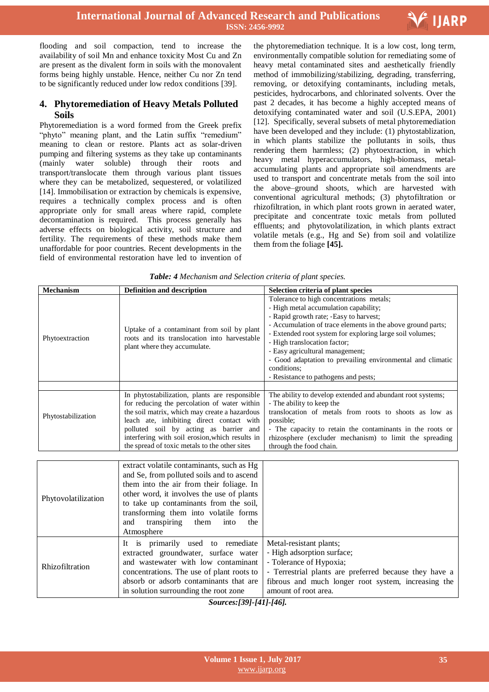

flooding and soil compaction, tend to increase the availability of soil Mn and enhance toxicity Most Cu and Zn are present as the divalent form in soils with the monovalent forms being highly unstable. Hence, neither Cu nor Zn tend to be significantly reduced under low redox conditions [39].

# **4. Phytoremediation of Heavy Metals Polluted Soils**

Phytoremediation is a word formed from the Greek prefix "phyto" meaning plant, and the Latin suffix "remedium" meaning to clean or restore. Plants act as solar-driven pumping and filtering systems as they take up contaminants (mainly water soluble) through their roots and transport/translocate them through various plant tissues where they can be metabolized, sequestered, or volatilized [14]. Immobilisation or extraction by chemicals is expensive, requires a technically complex process and is often appropriate only for small areas where rapid, complete decontamination is required. This process generally has adverse effects on biological activity, soil structure and fertility. The requirements of these methods make them unaffordable for poor countries. Recent developments in the field of environmental restoration have led to invention of

 the phytoremediation technique. It is a low cost, long term, environmentally compatible solution for remediating some of heavy metal contaminated sites and aesthetically friendly method of immobilizing/stabilizing, degrading, transferring, removing, or detoxifying contaminants, including metals, pesticides, hydrocarbons, and chlorinated solvents. Over the past 2 decades, it has become a highly accepted means of detoxifying contaminated water and soil (U.S.EPA, 2001) [12]. Specifically, several subsets of metal phytoremediation have been developed and they include: (1) phytostablization, in which plants stabilize the pollutants in soils, thus rendering them harmless; (2) phytoextraction, in which heavy metal hyperaccumulators, high-biomass, metalaccumulating plants and appropriate soil amendments are used to transport and concentrate metals from the soil into the above–ground shoots, which are harvested with conventional agricultural methods; (3) phytofiltration or rhizofiltration, in which plant roots grown in aerated water, precipitate and concentrate toxic metals from polluted effluents; and phytovolatilization, in which plants extract volatile metals (e.g., Hg and Se) from soil and volatilize them from the foliage **[45].**

| <b>Mechanism</b>    | <b>Definition and description</b>                                                                                                                                                                                                                                                                                                         | Selection criteria of plant species                                                                                                                                                                                                                                                                                                                                                                                                            |  |
|---------------------|-------------------------------------------------------------------------------------------------------------------------------------------------------------------------------------------------------------------------------------------------------------------------------------------------------------------------------------------|------------------------------------------------------------------------------------------------------------------------------------------------------------------------------------------------------------------------------------------------------------------------------------------------------------------------------------------------------------------------------------------------------------------------------------------------|--|
| Phytoextraction     | Uptake of a contaminant from soil by plant<br>roots and its translocation into harvestable<br>plant where they accumulate.                                                                                                                                                                                                                | Tolerance to high concentrations metals;<br>- High metal accumulation capability;<br>- Rapid growth rate; -Easy to harvest;<br>- Accumulation of trace elements in the above ground parts;<br>- Extended root system for exploring large soil volumes;<br>- High translocation factor;<br>- Easy agricultural management;<br>- Good adaptation to prevailing environmental and climatic<br>conditions;<br>- Resistance to pathogens and pests; |  |
|                     |                                                                                                                                                                                                                                                                                                                                           |                                                                                                                                                                                                                                                                                                                                                                                                                                                |  |
| Phytostabilization  | In phytostabilization, plants are responsible<br>for reducing the percolation of water within<br>the soil matrix, which may create a hazardous<br>leach ate, inhibiting direct contact with<br>polluted soil by acting as barrier and<br>interfering with soil erosion, which results in<br>the spread of toxic metals to the other sites | The ability to develop extended and abundant root systems;<br>- The ability to keep the<br>translocation of metals from roots to shoots as low as<br>possible;<br>- The capacity to retain the contaminants in the roots or<br>rhizosphere (excluder mechanism) to limit the spreading<br>through the food chain.                                                                                                                              |  |
|                     |                                                                                                                                                                                                                                                                                                                                           |                                                                                                                                                                                                                                                                                                                                                                                                                                                |  |
| Phytovolatilization | extract volatile contaminants, such as Hg<br>and Se, from polluted soils and to ascend<br>them into the air from their foliage. In<br>other word, it involves the use of plants<br>to take up contaminants from the soil,<br>transforming them into volatile forms<br>transpiring<br>them<br>into<br>and<br>the<br>Atmosphere             |                                                                                                                                                                                                                                                                                                                                                                                                                                                |  |
| Rhizofiltration     | It is primarily used to remediate<br>extracted groundwater, surface water<br>and wastewater with low contaminant<br>concentrations. The use of plant roots to<br>absorb or adsorb contaminants that are                                                                                                                                   | Metal-resistant plants;<br>- High adsorption surface;<br>- Tolerance of Hypoxia;<br>- Terrestrial plants are preferred because they have a<br>fibrous and much longer root system, increasing the                                                                                                                                                                                                                                              |  |

*Table: 4 Mechanism and Selection criteria of plant species.*

amount of root area.

in solution surrounding the root zone

*Sources:[39]-[41]-[46].*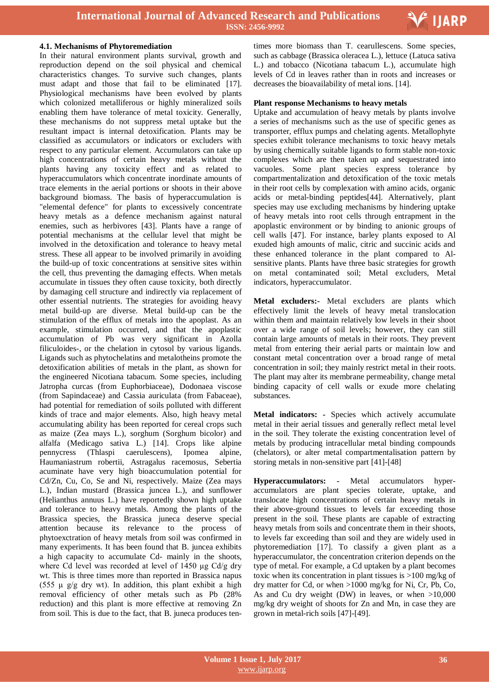

#### **4.1. Mechanisms of Phytoremediation**

In their natural environment plants survival, growth and reproduction depend on the soil physical and chemical characteristics changes. To survive such changes, plants must adapt and those that fail to be eliminated [17]. Physiological mechanisms have been evolved by plants which colonized metalliferous or highly mineralized soils enabling them have tolerance of metal toxicity. Generally, these mechanisms do not suppress metal uptake but the resultant impact is internal detoxification. Plants may be classified as accumulators or indicators or excluders with respect to any particular element. Accumulators can take up high concentrations of certain heavy metals without the plants having any toxicity effect and as related to hyperaccumulators which concentrate inordinate amounts of trace elements in the aerial portions or shoots in their above background biomass. The basis of hyperaccumulation is "elemental defence" for plants to excessively concentrate heavy metals as a defence mechanism against natural enemies, such as herbivores [43]. Plants have a range of potential mechanisms at the cellular level that might be involved in the detoxification and tolerance to heavy metal stress. These all appear to be involved primarily in avoiding the build-up of toxic concentrations at sensitive sites within the cell, thus preventing the damaging effects. When metals accumulate in tissues they often cause toxicity, both directly by damaging cell structure and indirectly via replacement of other essential nutrients. The strategies for avoiding heavy metal build-up are diverse. Metal build-up can be the stimulation of the efflux of metals into the apoplast. As an example, stimulation occurred, and that the apoplastic accumulation of Pb was very significant in Azolla filiculoides-, or the chelation in cytosol by various ligands. Ligands such as phytochelatins and metalotheins promote the detoxification abilities of metals in the plant, as shown for the engineered Nicotiana tabacum. Some species, including Jatropha curcas (from Euphorbiaceae), Dodonaea viscose (from Sapindaceae) and Cassia auriculata (from Fabaceae), had potential for remediation of soils polluted with different kinds of trace and major elements. Also, high heavy metal accumulating ability has been reported for cereal crops such as maize (Zea mays L.), sorghum (Sorghum bicolor) and alfalfa (Medicago sativa L.) [14]. Crops like alpine pennycress (Thlaspi caerulescens), Ipomea alpine, Haumaniastrum robertii, Astragalus racemosus, Sebertia acuminate have very high bioaccumulation potential for Cd/Zn, Cu, Co, Se and Ni, respectively. Maize (Zea mays L.), Indian mustard (Brassica juncea L.), and sunflower (Helianthus annuus L.) have reportedly shown high uptake and tolerance to heavy metals. Among the plants of the Brassica species, the Brassica juneca deserve special attention because its relevance to the process of phytoexctration of heavy metals from soil was confirmed in many experiments. It has been found that B. juncea exhibits a high capacity to accumulate Cd- mainly in the shoots, where Cd level was recorded at level of 1450 μg Cd/g dry wt. This is three times more than reported in Brassica napus (555  $\mu$  g/g dry wt). In addition, this plant exhibit a high removal efficiency of other metals such as Pb (28% reduction) and this plant is more effective at removing Zn from soil. This is due to the fact, that B. juneca produces ten-

 times more biomass than T. cearullescens. Some species, such as cabbage (Brassica oleracea L.), lettuce (Latuca sativa L.) and tobacco (Nicotiana tabacum L.), accumulate high levels of Cd in leaves rather than in roots and increases or decreases the bioavailability of metal ions. [14].

#### **Plant response Mechanisms to heavy metals**

Uptake and accumulation of heavy metals by plants involve a series of mechanisms such as the use of specific genes as transporter, efflux pumps and chelating agents. Metallophyte species exhibit tolerance mechanisms to toxic heavy metals by using chemically suitable ligands to form stable non-toxic complexes which are then taken up and sequestrated into vacuoles. Some plant species express tolerance by compartmentalization and detoxification of the toxic metals in their root cells by complexation with amino acids, organic acids or metal-binding peptides[44]. Alternatively, plant species may use excluding mechanisms by hindering uptake of heavy metals into root cells through entrapment in the apoplastic environment or by binding to anionic groups of cell walls [47]. For instance, barley plants exposed to Al exuded high amounts of malic, citric and succinic acids and these enhanced tolerance in the plant compared to Alsensitive plants. Plants have three basic strategies for growth on metal contaminated soil; Metal excluders, Metal indicators, hyperaccumulator.

**Metal excluders:-** Metal excluders are plants which effectively limit the levels of heavy metal translocation within them and maintain relatively low levels in their shoot over a wide range of soil levels; however, they can still contain large amounts of metals in their roots. They prevent metal from entering their aerial parts or maintain low and constant metal concentration over a broad range of metal concentration in soil; they mainly restrict metal in their roots. The plant may alter its membrane permeability, change metal binding capacity of cell walls or exude more chelating substances.

**Metal indicators: -** Species which actively accumulate metal in their aerial tissues and generally reflect metal level in the soil. They tolerate the existing concentration level of metals by producing intracellular metal binding compounds (chelators), or alter metal compartmentalisation pattern by storing metals in non-sensitive part [41]-[48]

**Hyperaccumulators: -** Metal accumulators hyperaccumulators are plant species tolerate, uptake, and translocate high concentrations of certain heavy metals in their above-ground tissues to levels far exceeding those present in the soil. These plants are capable of extracting heavy metals from soils and concentrate them in their shoots, to levels far exceeding than soil and they are widely used in phytoremediation [17]. To classify a given plant as a hyperaccumulator, the concentration criterion depends on the type of metal. For example, a Cd uptaken by a plant becomes toxic when its concentration in plant tissues is >100 mg/kg of dry matter for Cd, or when >1000 mg/kg for Ni, Cr, Pb, Co, As and Cu dry weight (DW) in leaves, or when >10,000 mg/kg dry weight of shoots for Zn and Mn, in case they are grown in metal-rich soils [47]-[49].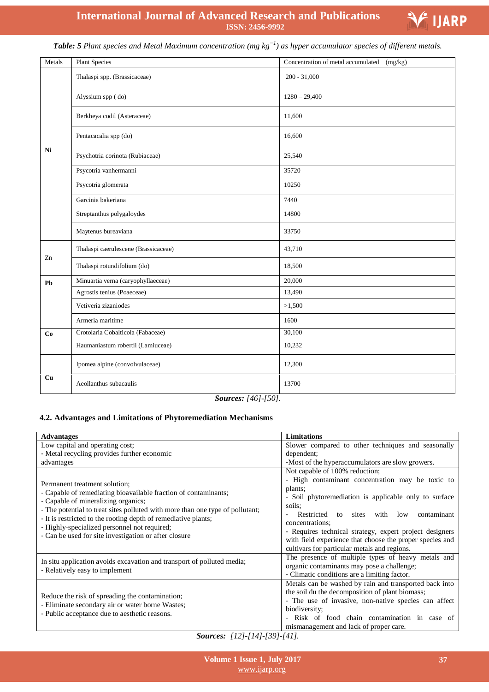

# *Table: 5 Plant species and Metal Maximum concentration (mg kg−1 ) as hyper accumulator species of different metals.*

| Metals | <b>Plant Species</b>                                 | Concentration of metal accumulated<br>(mg/kg) |  |  |
|--------|------------------------------------------------------|-----------------------------------------------|--|--|
|        | Thalaspi spp. (Brassicaceae)                         | $200 - 31,000$                                |  |  |
|        | Alyssium spp (do)                                    | $1280 - 29,400$                               |  |  |
|        | Berkheya codil (Asteraceae)                          | 11,600                                        |  |  |
|        | Pentacacalia spp (do)                                | 16,600                                        |  |  |
| Ni     | Psychotria corinota (Rubiaceae)                      | 25,540                                        |  |  |
|        | Psycotria vanhermanni                                | 35720                                         |  |  |
|        | Psycotria glomerata                                  | 10250                                         |  |  |
|        | Garcinia bakeriana                                   | 7440                                          |  |  |
|        | Streptanthus polygaloydes                            | 14800                                         |  |  |
|        | Maytenus bureaviana                                  | 33750                                         |  |  |
| Zn     | Thalaspi caerulescene (Brassicaceae)                 | 43,710                                        |  |  |
|        | Thalaspi rotundifolium (do)                          | 18,500                                        |  |  |
| Pb     | Minuartia verna (caryophyllaeceae)                   | 20,000                                        |  |  |
|        | Agrostis tenius (Poaeceae)                           | 13,490                                        |  |  |
|        | Vetiveria zizaniodes                                 | >1,500                                        |  |  |
|        | Armeria maritime                                     | 1600                                          |  |  |
| Co     | Crotolaria Cobalticola (Fabaceae)                    | 30,100                                        |  |  |
|        | Haumaniastum robertii (Lamiuceae)                    | 10,232                                        |  |  |
|        | Ipomea alpine (convolvulaceae)                       | 12,300                                        |  |  |
| Cu     | Aeollanthus subacaulis                               | 13700                                         |  |  |
|        | $C$ <sub>22232</sub> $\mu$ , $I_4$ $I_1$ $I_2$ $I_1$ |                                               |  |  |

# *Sources: [46]-[50].*

## **4.2. Advantages and Limitations of Phytoremediation Mechanisms**

| <b>Advantages</b>                                                                                                                                                                                                                                                                                                                          | <b>Limitations</b>                                                                                                                                                                                                                                                                                        |
|--------------------------------------------------------------------------------------------------------------------------------------------------------------------------------------------------------------------------------------------------------------------------------------------------------------------------------------------|-----------------------------------------------------------------------------------------------------------------------------------------------------------------------------------------------------------------------------------------------------------------------------------------------------------|
| Low capital and operating cost;                                                                                                                                                                                                                                                                                                            | Slower compared to other techniques and seasonally                                                                                                                                                                                                                                                        |
| - Metal recycling provides further economic                                                                                                                                                                                                                                                                                                | dependent;                                                                                                                                                                                                                                                                                                |
| advantages                                                                                                                                                                                                                                                                                                                                 | -Most of the hyperaccumulators are slow growers.                                                                                                                                                                                                                                                          |
| Permanent treatment solution;<br>- Capable of remediating bioavailable fraction of contaminants;<br>- Capable of mineralizing organics;<br>- The potential to treat sites polluted with more than one type of pollutant;<br>- It is restricted to the rooting depth of remediative plants;<br>- Highly-specialized personnel not required; | Not capable of 100% reduction;<br>- High contaminant concentration may be toxic to<br>plants;<br>- Soil phytoremediation is applicable only to surface<br>soils:<br>sites<br>with<br>Restricted<br>low<br>contaminant<br>to<br>concentrations;<br>- Requires technical strategy, expert project designers |
| - Can be used for site investigation or after closure                                                                                                                                                                                                                                                                                      | with field experience that choose the proper species and<br>cultivars for particular metals and regions.                                                                                                                                                                                                  |
| In situ application avoids excavation and transport of polluted media;<br>- Relatively easy to implement                                                                                                                                                                                                                                   | The presence of multiple types of heavy metals and<br>organic contaminants may pose a challenge;<br>- Climatic conditions are a limiting factor.                                                                                                                                                          |
| Reduce the risk of spreading the contamination;<br>- Eliminate secondary air or water borne Wastes;<br>- Public acceptance due to aesthetic reasons.                                                                                                                                                                                       | Metals can be washed by rain and transported back into<br>the soil du the decomposition of plant biomass;<br>- The use of invasive, non-native species can affect<br>biodiversity;<br>- Risk of food chain contamination in case of<br>mismanagement and lack of proper care.                             |
| $C_{\text{oumeas}}$ [19] [14] [20] [41]                                                                                                                                                                                                                                                                                                    |                                                                                                                                                                                                                                                                                                           |

*Sources: [12]-[14]-[39]-[41].*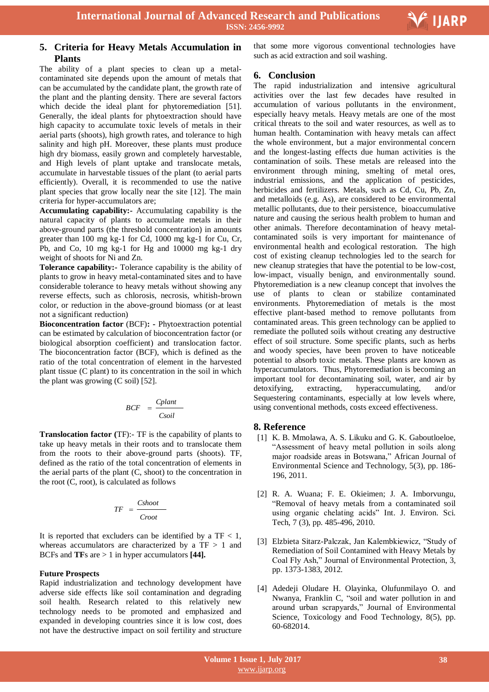

## **5. Criteria for Heavy Metals Accumulation in Plants**

The ability of a plant species to clean up a metalcontaminated site depends upon the amount of metals that can be accumulated by the candidate plant, the growth rate of the plant and the planting density. There are several factors which decide the ideal plant for phytoremediation [51]. Generally, the ideal plants for phytoextraction should have high capacity to accumulate toxic levels of metals in their aerial parts (shoots), high growth rates, and tolerance to high salinity and high pH. Moreover, these plants must produce high dry biomass, easily grown and completely harvestable, and High levels of plant uptake and translocate metals, accumulate in harvestable tissues of the plant (to aerial parts efficiently). Overall, it is recommended to use the native plant species that grow locally near the site [12]. The main criteria for hyper-accumulators are;

**Accumulating capability:-** Accumulating capability is the natural capacity of plants to accumulate metals in their above-ground parts (the threshold concentration) in amounts greater than 100 mg kg-1 for Cd, 1000 mg kg-1 for Cu, Cr, Pb, and Co, 10 mg kg-1 for Hg and 10000 mg kg-1 dry weight of shoots for Ni and Zn.

**Tolerance capability:-** Tolerance capability is the ability of plants to grow in heavy metal-contaminated sites and to have considerable tolerance to heavy metals without showing any reverse effects, such as chlorosis, necrosis, whitish-brown color, or reduction in the above-ground biomass (or at least not a significant reduction)

**Bioconcentration factor** (BCF)**: -** Phytoextraction potential can be estimated by calculation of bioconcentration factor (or biological absorption coefficient) and translocation factor. The bioconcentration factor (BCF), which is defined as the ratio of the total concentration of element in the harvested plant tissue (C plant) to its concentration in the soil in which the plant was growing (C soil) [52].

$$
BCF = \frac{Cplant}{Csoil}
$$

**Translocation factor (**TF):- TF is the capability of plants to take up heavy metals in their roots and to translocate them from the roots to their above-ground parts (shoots). TF, defined as the ratio of the total concentration of elements in the aerial parts of the plant (C, shoot) to the concentration in the root (C, root), is calculated as follows

$$
TF = \frac{Cshoot}{Croot}
$$

It is reported that excluders can be identified by a  $TF < 1$ , whereas accumulators are characterized by a  $TF > 1$  and BCFs and **TF**s are > 1 in hyper accumulators **[44].**

## **Future Prospects**

Rapid industrialization and technology development have adverse side effects like soil contamination and degrading soil health. Research related to this relatively new technology needs to be promoted and emphasized and expanded in developing countries since it is low cost, does not have the destructive impact on soil fertility and structure

 that some more vigorous conventional technologies have such as acid extraction and soil washing.

## **6. Conclusion**

The rapid industrialization and intensive agricultural activities over the last few decades have resulted in accumulation of various pollutants in the environment, especially heavy metals. Heavy metals are one of the most critical threats to the soil and water resources, as well as to human health. Contamination with heavy metals can affect the whole environment, but a major environmental concern and the longest-lasting effects due human activities is the contamination of soils. These metals are released into the environment through mining, smelting of metal ores, industrial emissions, and the application of pesticides, herbicides and fertilizers. Metals, such as Cd, Cu, Pb, Zn, and metalloids (e.g. As), are considered to be environmental metallic pollutants, due to their persistence, bioaccumulative nature and causing the serious health problem to human and other animals. Therefore decontamination of heavy metalcontaminated soils is very important for maintenance of environmental health and ecological restoration. The high cost of existing cleanup technologies led to the search for new cleanup strategies that have the potential to be low-cost, low-impact, visually benign, and environmentally sound. Phytoremediation is a new cleanup concept that involves the use of plants to clean or stabilize contaminated environments. Phytoremediation of metals is the most effective plant-based method to remove pollutants from contaminated areas. This green technology can be applied to remediate the polluted soils without creating any destructive effect of soil structure. Some specific plants, such as herbs and woody species, have been proven to have noticeable potential to absorb toxic metals. These plants are known as hyperaccumulators. Thus, Phytoremediation is becoming an important tool for decontaminating soil, water, and air by detoxifying, extracting, hyperaccumulating, and/or Sequestering contaminants, especially at low levels where, using conventional methods, costs exceed effectiveness.

## **8. Reference**

- [1] K. B. Mmolawa, A. S. Likuku and G. K. Gaboutloeloe, "Assessment of heavy metal pollution in soils along major roadside areas in Botswana," African Journal of Environmental Science and Technology, 5(3), pp. 186- 196, 2011.
- [2] R. A. Wuana; F. E. Okieimen; J. A. Imborvungu, "Removal of heavy metals from a contaminated soil using organic chelating acids" Int. J. Environ. Sci. Tech, 7 (3), pp. 485-496, 2010.
- [3] Elzbieta Sitarz-Palczak, Jan Kalembkiewicz, "Study of Remediation of Soil Contamined with Heavy Metals by Coal Fly Ash," Journal of Environmental Protection, 3, pp. 1373-1383, 2012.
- [4] Adedeji Oludare H. Olayinka, Olufunmilayo O. and Nwanya, Franklin C, "soil and water pollution in and around urban scrapyards," Journal of Environmental Science, Toxicology and Food Technology, 8(5), pp. 60-682014.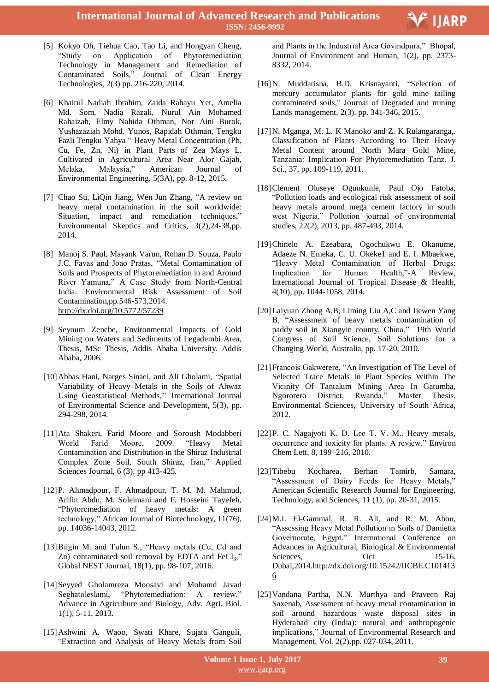

- [5] Kokyo Oh, Tiehua Cao, Tao Li, and Hongyan Cheng, "Study on Application of Phytoremediation Technology in Management and Remediation of Contaminated Soils," Journal of Clean Energy Technologies, 2(3) pp. 216-220, 2014.
- [6] Khairul Nadiah Ibrahim, Zaida Rahayu Yet, Amelia Md. Som, Nadia Razali, Nurul Ain Mohamed Rahaizah, Elmy Nahida Othman, Nor Aini Burok, Yushazaziah Mohd. Yunos, Rapidah Othman, Tengku Fazli Tengku Yahya " Heavy Metal Concentration (Pb, Cu, Fe, Zn, Ni) in Plant Parts of Zea Mays L. Cultivated in Agricultural Area Near Alor Gajah, Melaka, Malaysia," American Journal of Environmental Engineering, 5(3A), pp. 8-12, 2015.
- [7] Chao Su, LiQin Jiang, Wen Jun Zhang, "A review on heavy metal contamination in the soil worldwide: Situation, impact and remediation techniques," Environmental Skeptics and Critics, 3(2),24-38,pp. 2014.
- [8] Manoj S. Paul, Mayank Varun, Rohan D. Souza, Paulo J.C. Favas and Joao Pratas, "Metal Contamination of Soils and Prospects of Phytoremediation in and Around River Yamuna," A Case Study from North-Central India. Environmental Risk Assessment of Soil Contamination,pp.546-573,2014. http://dx.doi.org/10.5772/57239
- [9] Seyoum Zenebe, Environmental Impacts of Gold Mining on Waters and Sediments of Legadembi Area, Thesis, MSc Thesis, Addis Ababa University. Addis Ababa, 2006.
- [10]Abbas Hani, Narges Sinaei, and Ali Gholami, "Spatial Variability of Heavy Metals in the Soils of Ahwaz Using Geostatistical Methods,'' International Journal of Environmental Science and Development, 5(3), pp. 294-298, 2014.
- [11]Ata Shakeri, Farid Moore and Soroush Modabberi World Farid Moore, 2009. "Heavy Metal Contamination and Distribution in the Shiraz Industrial Complex Zone Soil, South Shiraz, Iran," Applied Sciences Journal, 6 (3), pp 413-425.
- [12]P. Ahmadpour, F. Ahmadpour, T. M. M. Mahmud, Arifin Abdu, M. Soleimani and F. Hosseini Tayefeh, "Phytoremediation of heavy metals: A green technology," African Journal of Biotechnology, 11(76), pp. 14036-14043, 2012.
- [13] Bilgin M. and Tulun S., "Heavy metals (Cu, Cd and Zn) contaminated soil removal by EDTA and  $FeCl<sub>3</sub>$ ," Global NEST Journal, 18(1), pp. 98-107, 2016.
- [14]Seyyed Gholamreza Moosavi and Mohamd Javad Seghatoleslami, "Phytoremediation: A review," Advance in Agriculture and Biology, Adv. Agri. Biol. 1(1), 5-11, 2013.
- [15]Ashwini A. Waoo, Swati Khare, Sujata Ganguli, "Extraction and Analysis of Heavy Metals from Soil

 and Plants in the Industrial Area Govindpura," Bhopal, Journal of Environment and Human, 1(2), pp. 2373- 8332, 2014.

- [16]N. Muddarisna, B.D. Krisnayanti, "Selection of mercury accumulator plants for gold mine tailing contaminated soils," Journal of Degraded and mining Lands management, 2(3), pp. 341-346, 2015.
- [17]N. Mganga, M. L. K Manoko and Z. K Rulangaranga,. Classification of Plants According to Their Heavy Metal Content around North Mara Gold Mine, Tanzania: Implication For Phytoremediation Tanz. J. Sci., 37, pp. 109-119, 2011.
- [18]Clement Oluseye Ogunkunle, Paul Ojo Fatoba, "Pollution loads and ecological risk assessment of soil heavy metals around mega cement factory in south west Nigeria," Pollution journal of environmental studies, 22(2), 2013, pp. 487-493, 2014.
- [19]Chinelo A. Ezeabara, Ogochukwu E. Okanume, Adaeze N. Emeka, C. U. Okeke1 and E. I. Mbaekwe, "Heavy Metal Contamination of Herbal Drugs: Implication for Human Health,"-A Review, International Journal of Tropical Disease & Health, 4(10), pp. 1044-1058, 2014.
- [20]Laiyuan Zhong A,B, Liming Liu A,C and Jiewen Yang B, "Assessment of heavy metals contamination of paddy soil in Xiangyin county, China," 19th World Congress of Soil Science, Soil Solutions for a Changing World, Australia, pp. 17-20, 2010.
- [21]Francois Gakwerere, "An Investigation of The Level of Selected Trace Metals In Plant Species Within The Vicinity Of Tantalum Mining Area In Gatumba, Ngororero District, Rwanda," Master Thesis, Environmental Sciences, University of South Africa, 2012.
- [22]P. C. Nagajyoti K. D. Lee T. V. M.. Heavy metals, occurrence and toxicity for plants: A review," Environ Chem Lett, 8, 199–216, 2010.
- [23]Tibebu Kocharea, Berhan Tamirb, Samara, "Assessment of Dairy Feeds for Heavy Metals," American Scientific Research Journal for Engineering, Technology, and Sciences, 11 (1), pp. 20-31, 2015.
- [24] M.I. El-Gammal, R. R. Ali, and R. M. Abou, "Assessing Heavy Metal Pollution in Soils of Damietta Governorate, Egypt." International Conference on Advances in Agricultural, Biological & Environmental Sciences, Oct 15-16, Dubai,2014.http://dx.doi.org/10.15242/IICBE.C101413 6
- [25]Vandana Partha, N.N. Murthya and Praveen Raj Saxenab, Assessment of heavy metal contamination in soil around hazardous waste disposal sites in Hyderabad city (India): natural and anthropogenic implications," Journal of Environmental Research and Management, Vol. 2(2).pp. 027-034, 2011.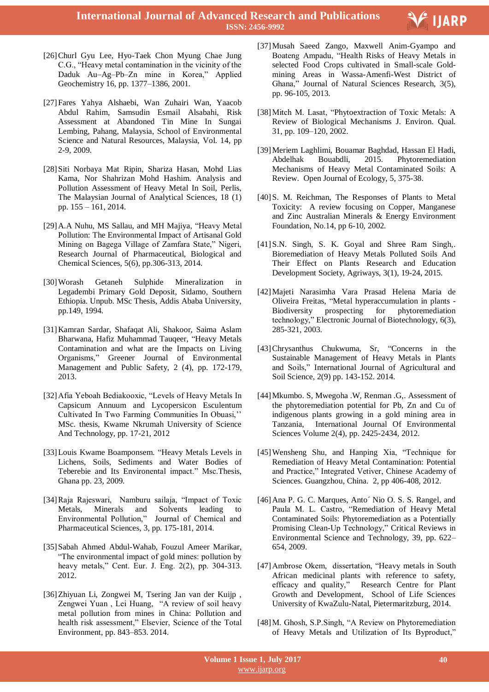

- [26]Churl Gyu Lee, Hyo-Taek Chon Myung Chae Jung C.G., "Heavy metal contamination in the vicinity of the Daduk Au–Ag–Pb–Zn mine in Korea," Applied Geochemistry 16, pp. 1377–1386, 2001.
- [27]Fares Yahya Alshaebi, Wan Zuhairi Wan, Yaacob Abdul Rahim, Samsudin Esmail Alsabahi, Risk Assessment at Abandoned Tin Mine In Sungai Lembing, Pahang, Malaysia, School of Environmental Science and Natural Resources, Malaysia, Vol. 14, pp 2-9, 2009.
- [28]Siti Norbaya Mat Ripin, Shariza Hasan, Mohd Lias Kama, Nor Shahrizan Mohd Hashim. Analysis and Pollution Assessment of Heavy Metal In Soil, Perlis, The Malaysian Journal of Analytical Sciences, 18 (1) pp. 155 – 161, 2014.
- [29]A.A Nuhu, MS Sallau, and MH Majiya, "Heavy Metal Pollution: The Environmental Impact of Artisanal Gold Mining on Bagega Village of Zamfara State," Nigeri, Research Journal of Pharmaceutical, Biological and Chemical Sciences, 5(6), pp.306-313, 2014.
- [30]Worash Getaneh Sulphide Mineralization in Legadembi Primary Gold Deposit, Sidamo, Southern Ethiopia. Unpub. MSc Thesis, Addis Ababa University, pp.149, 1994.
- [31]Kamran Sardar, Shafaqat Ali, Shakoor, Saima Aslam Bharwana, Hafiz Muhammad Tauqeer, "Heavy Metals Contamination and what are the Impacts on Living Organisms," Greener Journal of Environmental Management and Public Safety, 2 (4), pp. 172-179, 2013.
- [32]Afia Yeboah Bediakooxic, "Levels of Heavy Metals In Capsicum Annuum and Lycopersicon Esculentum Cultivated In Two Farming Communities In Obuasi,'' MSc. thesis, Kwame Nkrumah University of Science And Technology, pp. 17-21, 2012
- [33]Louis Kwame Boamponsem. "Heavy Metals Levels in Lichens, Soils, Sediments and Water Bodies of Teberebie and Its Environental impact." Msc.Thesis, Ghana pp. 23, 2009.
- [34]Raja Rajeswari, Namburu sailaja, "Impact of Toxic Metals, Minerals and Solvents leading to Environmental Pollution," Journal of Chemical and Pharmaceutical Sciences, 3, pp. 175-181, 2014.
- [35]Sabah Ahmed Abdul-Wahab, Fouzul Ameer Marikar, "The environmental impact of gold mines: pollution by heavy metals," Cent. Eur. J. Eng. 2(2), pp. 304-313. 2012.
- [36]Zhiyuan Li, Zongwei M, Tsering Jan van der Kuijp , Zengwei Yuan , Lei Huang, "A review of soil heavy metal pollution from mines in China: Pollution and health risk assessment," Elsevier, Science of the Total Environment, pp. 843–853. 2014.
- [37]Musah Saeed Zango, Maxwell Anim-Gyampo and Boateng Ampadu, "Health Risks of Heavy Metals in selected Food Crops cultivated in Small-scale Goldmining Areas in Wassa-Amenfi-West District of Ghana," Journal of Natural Sciences Research, 3(5), pp. 96-105, 2013.
- [38]Mitch M. Lasat, "Phytoextraction of Toxic Metals: A Review of Biological Mechanisms J. Environ. Qual. 31, pp. 109–120, 2002.
- [39]Meriem Laghlimi, Bouamar Baghdad, Hassan El Hadi, Abdelhak Bouabdli, 2015. Phytoremediation Mechanisms of Heavy Metal Contaminated Soils: A Review. Open Journal of Ecology, 5, 375-38.
- [40]S. M. Reichman, The Responses of Plants to Metal Toxicity: A review focusing on Copper, Manganese and Zinc Australian Minerals & Energy Environment Foundation, No.14, pp 6-10, 2002.
- [41]S.N. Singh, S. K. Goyal and Shree Ram Singh,. Bioremediation of Heavy Metals Polluted Soils And Their Effect on Plants Research and Education Development Society, Agriways, 3(1), 19-24, 2015.
- [42]Majeti Narasimha Vara Prasad Helena Maria de Oliveira Freitas, "Metal hyperaccumulation in plants - Biodiversity prospecting for phytoremediation technology," Electronic Journal of Biotechnology, 6(3), 285-321, 2003.
- [43]Chrysanthus Chukwuma, Sr, "Concerns in the Sustainable Management of Heavy Metals in Plants and Soils," International Journal of Agricultural and Soil Science, 2(9) pp. 143-152. 2014.
- [44]Mkumbo. S, Mwegoha .W, Renman .G,. Assessment of the phytoremediation potential for Pb, Zn and Cu of indigenous plants growing in a gold mining area in Tanzania, International Journal Of Environmental Sciences Volume 2(4), pp. 2425-2434, 2012.
- [45]Wensheng Shu, and Hanping Xia, "Technique for Remediation of Heavy Metal Contamination: Potential and Practice," Integrated Vetiver, Chinese Academy of Sciences. Guangzhou, China. 2, pp 406-408, 2012.
- [46]Ana P. G. C. Marques, Anto´ Nio O. S. S. Rangel, and Paula M. L. Castro, "Remediation of Heavy Metal Contaminated Soils: Phytoremediation as a Potentially Promising Clean-Up Technology," Critical Reviews in Environmental Science and Technology, 39, pp. 622– 654, 2009.
- [47]Ambrose Okem, dissertation, "Heavy metals in South African medicinal plants with reference to safety, efficacy and quality," Research Centre for Plant Growth and Development, School of Life Sciences University of KwaZulu-Natal, Pietermaritzburg, 2014.
- [48]M. Ghosh, S.P.Singh, "A Review on Phytoremediation of Heavy Metals and Utilization of Its Byproduct,"